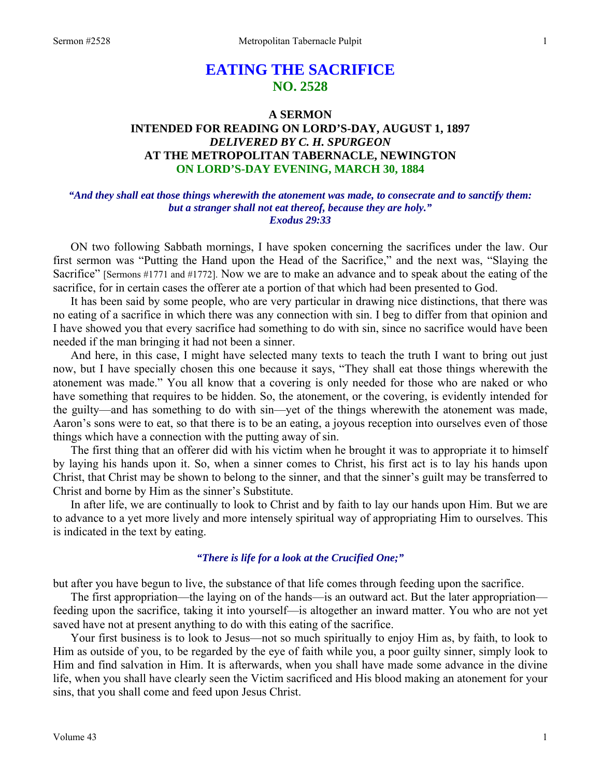# **EATING THE SACRIFICE NO. 2528**

# **A SERMON INTENDED FOR READING ON LORD'S-DAY, AUGUST 1, 1897**  *DELIVERED BY C. H. SPURGEON*  **AT THE METROPOLITAN TABERNACLE, NEWINGTON ON LORD'S-DAY EVENING, MARCH 30, 1884**

### *"And they shall eat those things wherewith the atonement was made, to consecrate and to sanctify them: but a stranger shall not eat thereof, because they are holy." Exodus 29:33*

ON two following Sabbath mornings, I have spoken concerning the sacrifices under the law. Our first sermon was "Putting the Hand upon the Head of the Sacrifice," and the next was, "Slaying the Sacrifice" [Sermons #1771 and #1772]. Now we are to make an advance and to speak about the eating of the sacrifice, for in certain cases the offerer ate a portion of that which had been presented to God.

It has been said by some people, who are very particular in drawing nice distinctions, that there was no eating of a sacrifice in which there was any connection with sin. I beg to differ from that opinion and I have showed you that every sacrifice had something to do with sin, since no sacrifice would have been needed if the man bringing it had not been a sinner.

And here, in this case, I might have selected many texts to teach the truth I want to bring out just now, but I have specially chosen this one because it says, "They shall eat those things wherewith the atonement was made." You all know that a covering is only needed for those who are naked or who have something that requires to be hidden. So, the atonement, or the covering, is evidently intended for the guilty—and has something to do with sin—yet of the things wherewith the atonement was made, Aaron's sons were to eat, so that there is to be an eating, a joyous reception into ourselves even of those things which have a connection with the putting away of sin.

The first thing that an offerer did with his victim when he brought it was to appropriate it to himself by laying his hands upon it. So, when a sinner comes to Christ, his first act is to lay his hands upon Christ, that Christ may be shown to belong to the sinner, and that the sinner's guilt may be transferred to Christ and borne by Him as the sinner's Substitute.

In after life, we are continually to look to Christ and by faith to lay our hands upon Him. But we are to advance to a yet more lively and more intensely spiritual way of appropriating Him to ourselves. This is indicated in the text by eating.

### *"There is life for a look at the Crucified One;"*

but after you have begun to live, the substance of that life comes through feeding upon the sacrifice.

The first appropriation—the laying on of the hands—is an outward act. But the later appropriation feeding upon the sacrifice, taking it into yourself—is altogether an inward matter. You who are not yet saved have not at present anything to do with this eating of the sacrifice.

Your first business is to look to Jesus—not so much spiritually to enjoy Him as, by faith, to look to Him as outside of you, to be regarded by the eye of faith while you, a poor guilty sinner, simply look to Him and find salvation in Him. It is afterwards, when you shall have made some advance in the divine life, when you shall have clearly seen the Victim sacrificed and His blood making an atonement for your sins, that you shall come and feed upon Jesus Christ.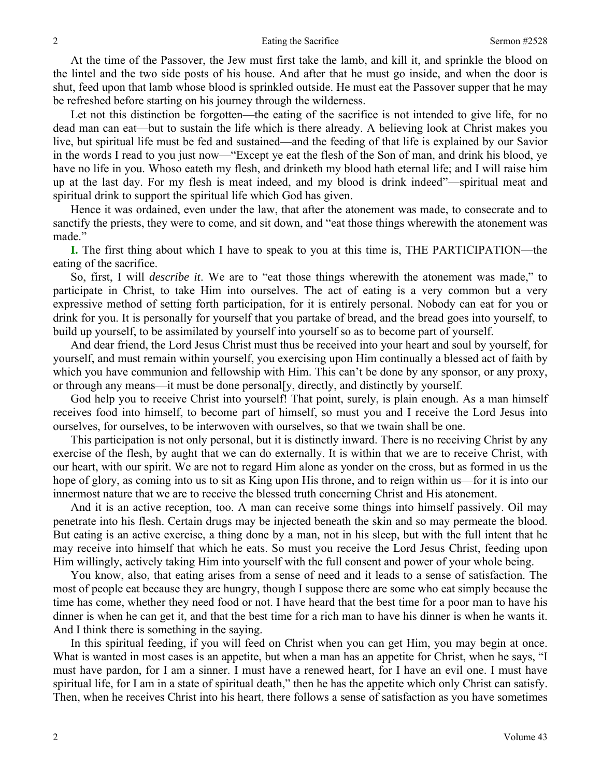At the time of the Passover, the Jew must first take the lamb, and kill it, and sprinkle the blood on the lintel and the two side posts of his house. And after that he must go inside, and when the door is shut, feed upon that lamb whose blood is sprinkled outside. He must eat the Passover supper that he may be refreshed before starting on his journey through the wilderness.

Let not this distinction be forgotten—the eating of the sacrifice is not intended to give life, for no dead man can eat—but to sustain the life which is there already. A believing look at Christ makes you live, but spiritual life must be fed and sustained—and the feeding of that life is explained by our Savior in the words I read to you just now—"Except ye eat the flesh of the Son of man, and drink his blood, ye have no life in you. Whoso eateth my flesh, and drinketh my blood hath eternal life; and I will raise him up at the last day. For my flesh is meat indeed, and my blood is drink indeed"—spiritual meat and spiritual drink to support the spiritual life which God has given.

Hence it was ordained, even under the law, that after the atonement was made, to consecrate and to sanctify the priests, they were to come, and sit down, and "eat those things wherewith the atonement was made."

**I.** The first thing about which I have to speak to you at this time is, THE PARTICIPATION—the eating of the sacrifice.

So, first, I will *describe it*. We are to "eat those things wherewith the atonement was made," to participate in Christ, to take Him into ourselves. The act of eating is a very common but a very expressive method of setting forth participation, for it is entirely personal. Nobody can eat for you or drink for you. It is personally for yourself that you partake of bread, and the bread goes into yourself, to build up yourself, to be assimilated by yourself into yourself so as to become part of yourself.

And dear friend, the Lord Jesus Christ must thus be received into your heart and soul by yourself, for yourself, and must remain within yourself, you exercising upon Him continually a blessed act of faith by which you have communion and fellowship with Him. This can't be done by any sponsor, or any proxy, or through any means—it must be done personal[y, directly, and distinctly by yourself.

God help you to receive Christ into yourself! That point, surely, is plain enough. As a man himself receives food into himself, to become part of himself, so must you and I receive the Lord Jesus into ourselves, for ourselves, to be interwoven with ourselves, so that we twain shall be one.

This participation is not only personal, but it is distinctly inward. There is no receiving Christ by any exercise of the flesh, by aught that we can do externally. It is within that we are to receive Christ, with our heart, with our spirit. We are not to regard Him alone as yonder on the cross, but as formed in us the hope of glory, as coming into us to sit as King upon His throne, and to reign within us—for it is into our innermost nature that we are to receive the blessed truth concerning Christ and His atonement.

And it is an active reception, too. A man can receive some things into himself passively. Oil may penetrate into his flesh. Certain drugs may be injected beneath the skin and so may permeate the blood. But eating is an active exercise, a thing done by a man, not in his sleep, but with the full intent that he may receive into himself that which he eats. So must you receive the Lord Jesus Christ, feeding upon Him willingly, actively taking Him into yourself with the full consent and power of your whole being.

You know, also, that eating arises from a sense of need and it leads to a sense of satisfaction. The most of people eat because they are hungry, though I suppose there are some who eat simply because the time has come, whether they need food or not. I have heard that the best time for a poor man to have his dinner is when he can get it, and that the best time for a rich man to have his dinner is when he wants it. And I think there is something in the saying.

In this spiritual feeding, if you will feed on Christ when you can get Him, you may begin at once. What is wanted in most cases is an appetite, but when a man has an appetite for Christ, when he says, "I must have pardon, for I am a sinner. I must have a renewed heart, for I have an evil one. I must have spiritual life, for I am in a state of spiritual death," then he has the appetite which only Christ can satisfy. Then, when he receives Christ into his heart, there follows a sense of satisfaction as you have sometimes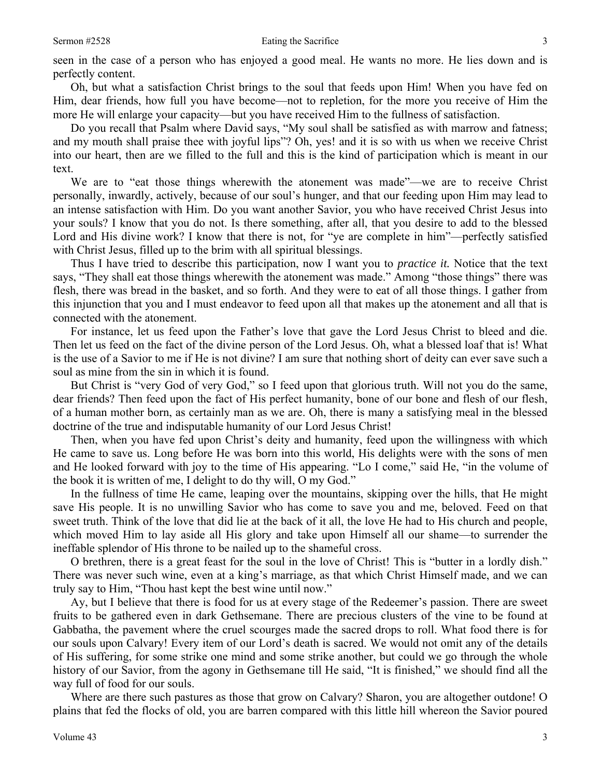seen in the case of a person who has enjoyed a good meal. He wants no more. He lies down and is perfectly content.

Oh, but what a satisfaction Christ brings to the soul that feeds upon Him! When you have fed on Him, dear friends, how full you have become—not to repletion, for the more you receive of Him the more He will enlarge your capacity—but you have received Him to the fullness of satisfaction.

Do you recall that Psalm where David says, "My soul shall be satisfied as with marrow and fatness; and my mouth shall praise thee with joyful lips"? Oh, yes! and it is so with us when we receive Christ into our heart, then are we filled to the full and this is the kind of participation which is meant in our text.

We are to "eat those things wherewith the atonement was made"—we are to receive Christ personally, inwardly, actively, because of our soul's hunger, and that our feeding upon Him may lead to an intense satisfaction with Him. Do you want another Savior, you who have received Christ Jesus into your souls? I know that you do not. Is there something, after all, that you desire to add to the blessed Lord and His divine work? I know that there is not, for "ye are complete in him"—perfectly satisfied with Christ Jesus, filled up to the brim with all spiritual blessings.

Thus I have tried to describe this participation, now I want you to *practice it.* Notice that the text says, "They shall eat those things wherewith the atonement was made." Among "those things" there was flesh, there was bread in the basket, and so forth. And they were to eat of all those things. I gather from this injunction that you and I must endeavor to feed upon all that makes up the atonement and all that is connected with the atonement.

For instance, let us feed upon the Father's love that gave the Lord Jesus Christ to bleed and die. Then let us feed on the fact of the divine person of the Lord Jesus. Oh, what a blessed loaf that is! What is the use of a Savior to me if He is not divine? I am sure that nothing short of deity can ever save such a soul as mine from the sin in which it is found.

But Christ is "very God of very God," so I feed upon that glorious truth. Will not you do the same, dear friends? Then feed upon the fact of His perfect humanity, bone of our bone and flesh of our flesh, of a human mother born, as certainly man as we are. Oh, there is many a satisfying meal in the blessed doctrine of the true and indisputable humanity of our Lord Jesus Christ!

Then, when you have fed upon Christ's deity and humanity, feed upon the willingness with which He came to save us. Long before He was born into this world, His delights were with the sons of men and He looked forward with joy to the time of His appearing. "Lo I come," said He, "in the volume of the book it is written of me, I delight to do thy will, O my God."

In the fullness of time He came, leaping over the mountains, skipping over the hills, that He might save His people. It is no unwilling Savior who has come to save you and me, beloved. Feed on that sweet truth. Think of the love that did lie at the back of it all, the love He had to His church and people, which moved Him to lay aside all His glory and take upon Himself all our shame—to surrender the ineffable splendor of His throne to be nailed up to the shameful cross.

O brethren, there is a great feast for the soul in the love of Christ! This is "butter in a lordly dish." There was never such wine, even at a king's marriage, as that which Christ Himself made, and we can truly say to Him, "Thou hast kept the best wine until now."

Ay, but I believe that there is food for us at every stage of the Redeemer's passion. There are sweet fruits to be gathered even in dark Gethsemane. There are precious clusters of the vine to be found at Gabbatha, the pavement where the cruel scourges made the sacred drops to roll. What food there is for our souls upon Calvary! Every item of our Lord's death is sacred. We would not omit any of the details of His suffering, for some strike one mind and some strike another, but could we go through the whole history of our Savior, from the agony in Gethsemane till He said, "It is finished," we should find all the way full of food for our souls.

Where are there such pastures as those that grow on Calvary? Sharon, you are altogether outdone! O plains that fed the flocks of old, you are barren compared with this little hill whereon the Savior poured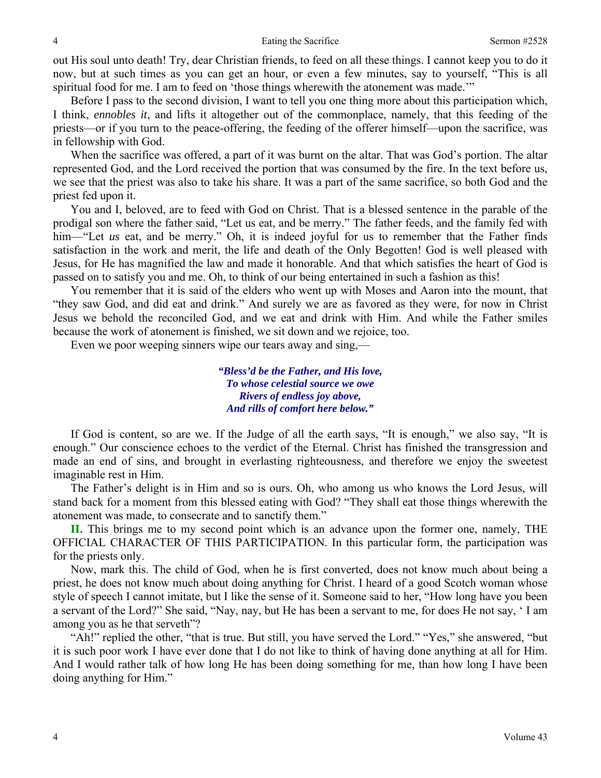out His soul unto death! Try, dear Christian friends, to feed on all these things. I cannot keep you to do it now, but at such times as you can get an hour, or even a few minutes, say to yourself, "This is all spiritual food for me. I am to feed on 'those things wherewith the atonement was made.'"

Before I pass to the second division, I want to tell you one thing more about this participation which, I think, *ennobles it*, and lifts it altogether out of the commonplace, namely, that this feeding of the priests—or if you turn to the peace-offering, the feeding of the offerer himself—upon the sacrifice, was in fellowship with God.

When the sacrifice was offered, a part of it was burnt on the altar. That was God's portion. The altar represented God, and the Lord received the portion that was consumed by the fire. In the text before us, we see that the priest was also to take his share. It was a part of the same sacrifice, so both God and the priest fed upon it.

You and I, beloved, are to feed with God on Christ. That is a blessed sentence in the parable of the prodigal son where the father said, "Let us eat, and be merry." The father feeds, and the family fed with him—"Let *us* eat, and be merry." Oh, it is indeed joyful for us to remember that the Father finds satisfaction in the work and merit, the life and death of the Only Begotten! God is well pleased with Jesus, for He has magnified the law and made it honorable. And that which satisfies the heart of God is passed on to satisfy you and me. Oh, to think of our being entertained in such a fashion as this!

You remember that it is said of the elders who went up with Moses and Aaron into the mount, that "they saw God, and did eat and drink." And surely we are as favored as they were, for now in Christ Jesus we behold the reconciled God, and we eat and drink with Him. And while the Father smiles because the work of atonement is finished, we sit down and we rejoice, too.

Even we poor weeping sinners wipe our tears away and sing,—

*"Bless'd be the Father, and His love, To whose celestial source we owe Rivers of endless joy above, And rills of comfort here below."* 

If God is content, so are we. If the Judge of all the earth says, "It is enough," we also say, "It is enough." Our conscience echoes to the verdict of the Eternal. Christ has finished the transgression and made an end of sins, and brought in everlasting righteousness, and therefore we enjoy the sweetest imaginable rest in Him.

The Father's delight is in Him and so is ours. Oh, who among us who knows the Lord Jesus, will stand back for a moment from this blessed eating with God? "They shall eat those things wherewith the atonement was made, to consecrate and to sanctify them."

**II.** This brings me to my second point which is an advance upon the former one, namely, THE OFFICIAL CHARACTER OF THIS PARTICIPATION. In this particular form, the participation was for the priests only.

Now, mark this. The child of God, when he is first converted, does not know much about being a priest, he does not know much about doing anything for Christ. I heard of a good Scotch woman whose style of speech I cannot imitate, but I like the sense of it. Someone said to her, "How long have you been a servant of the Lord?" She said, "Nay, nay, but He has been a servant to me, for does He not say, ' I am among you as he that serveth"?

"Ah!" replied the other, "that is true. But still, you have served the Lord." "Yes," she answered, "but it is such poor work I have ever done that I do not like to think of having done anything at all for Him. And I would rather talk of how long He has been doing something for me, than how long I have been doing anything for Him."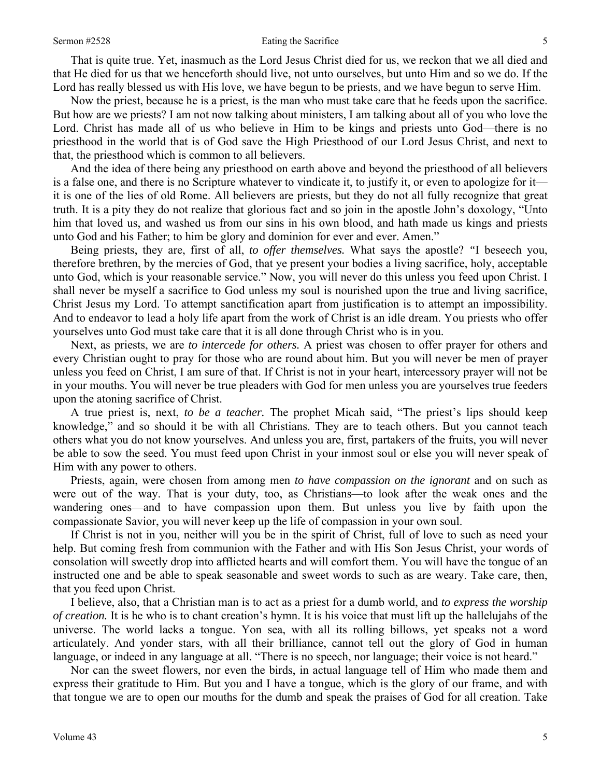#### Sermon #2528 Eating the Sacrifice 5

That is quite true. Yet, inasmuch as the Lord Jesus Christ died for us, we reckon that we all died and that He died for us that we henceforth should live, not unto ourselves, but unto Him and so we do. If the Lord has really blessed us with His love, we have begun to be priests, and we have begun to serve Him.

Now the priest, because he is a priest, is the man who must take care that he feeds upon the sacrifice. But how are we priests? I am not now talking about ministers, I am talking about all of you who love the Lord. Christ has made all of us who believe in Him to be kings and priests unto God—there is no priesthood in the world that is of God save the High Priesthood of our Lord Jesus Christ, and next to that, the priesthood which is common to all believers.

And the idea of there being any priesthood on earth above and beyond the priesthood of all believers is a false one, and there is no Scripture whatever to vindicate it, to justify it, or even to apologize for it it is one of the lies of old Rome. All believers are priests, but they do not all fully recognize that great truth. It is a pity they do not realize that glorious fact and so join in the apostle John's doxology, "Unto him that loved us, and washed us from our sins in his own blood, and hath made us kings and priests unto God and his Father; to him be glory and dominion for ever and ever. Amen."

Being priests, they are, first of all, *to offer themselves.* What says the apostle? *"*I beseech you, therefore brethren, by the mercies of God, that ye present your bodies a living sacrifice, holy, acceptable unto God, which is your reasonable service." Now, you will never do this unless you feed upon Christ. I shall never be myself a sacrifice to God unless my soul is nourished upon the true and living sacrifice, Christ Jesus my Lord. To attempt sanctification apart from justification is to attempt an impossibility. And to endeavor to lead a holy life apart from the work of Christ is an idle dream. You priests who offer yourselves unto God must take care that it is all done through Christ who is in you.

Next, as priests, we are *to intercede for others.* A priest was chosen to offer prayer for others and every Christian ought to pray for those who are round about him. But you will never be men of prayer unless you feed on Christ, I am sure of that. If Christ is not in your heart, intercessory prayer will not be in your mouths. You will never be true pleaders with God for men unless you are yourselves true feeders upon the atoning sacrifice of Christ.

A true priest is, next, *to be a teacher.* The prophet Micah said, "The priest's lips should keep knowledge," and so should it be with all Christians. They are to teach others. But you cannot teach others what you do not know yourselves. And unless you are, first, partakers of the fruits, you will never be able to sow the seed. You must feed upon Christ in your inmost soul or else you will never speak of Him with any power to others.

Priests, again, were chosen from among men *to have compassion on the ignorant* and on such as were out of the way. That is your duty, too, as Christians—to look after the weak ones and the wandering ones—and to have compassion upon them. But unless you live by faith upon the compassionate Savior, you will never keep up the life of compassion in your own soul.

If Christ is not in you, neither will you be in the spirit of Christ, full of love to such as need your help. But coming fresh from communion with the Father and with His Son Jesus Christ, your words of consolation will sweetly drop into afflicted hearts and will comfort them. You will have the tongue of an instructed one and be able to speak seasonable and sweet words to such as are weary. Take care, then, that you feed upon Christ.

I believe, also, that a Christian man is to act as a priest for a dumb world, and *to express the worship of creation.* It is he who is to chant creation's hymn. It is his voice that must lift up the hallelujahs of the universe. The world lacks a tongue. Yon sea, with all its rolling billows, yet speaks not a word articulately. And yonder stars, with all their brilliance, cannot tell out the glory of God in human language, or indeed in any language at all. "There is no speech, nor language; their voice is not heard."

Nor can the sweet flowers, nor even the birds, in actual language tell of Him who made them and express their gratitude to Him. But you and I have a tongue, which is the glory of our frame, and with that tongue we are to open our mouths for the dumb and speak the praises of God for all creation. Take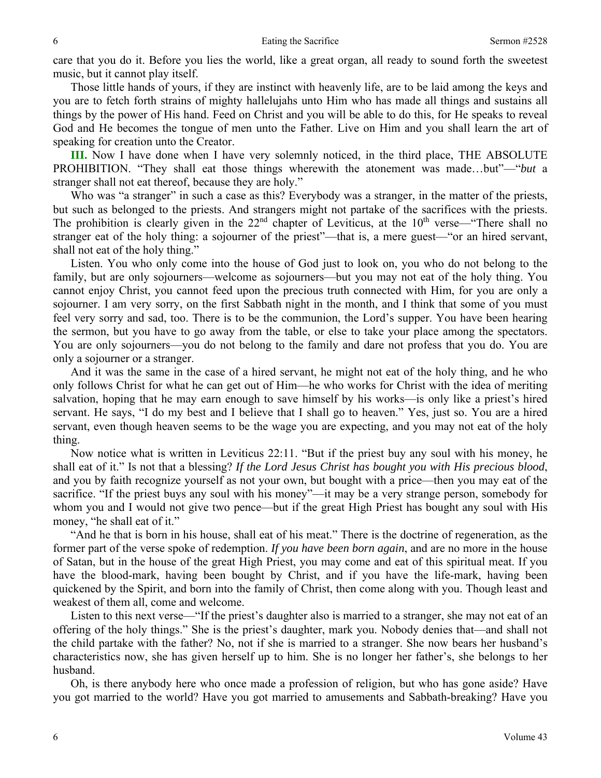care that you do it. Before you lies the world, like a great organ, all ready to sound forth the sweetest music, but it cannot play itself.

Those little hands of yours, if they are instinct with heavenly life, are to be laid among the keys and you are to fetch forth strains of mighty hallelujahs unto Him who has made all things and sustains all things by the power of His hand. Feed on Christ and you will be able to do this, for He speaks to reveal God and He becomes the tongue of men unto the Father. Live on Him and you shall learn the art of speaking for creation unto the Creator.

**III.** Now I have done when I have very solemnly noticed, in the third place, THE ABSOLUTE PROHIBITION. "They shall eat those things wherewith the atonement was made…but"—"*but* a stranger shall not eat thereof, because they are holy."

Who was "a stranger" in such a case as this? Everybody was a stranger, in the matter of the priests, but such as belonged to the priests. And strangers might not partake of the sacrifices with the priests. The prohibition is clearly given in the  $22<sup>nd</sup>$  chapter of Leviticus, at the  $10<sup>th</sup>$  verse—"There shall no stranger eat of the holy thing: a sojourner of the priest"—that is, a mere guest—"or an hired servant, shall not eat of the holy thing."

Listen. You who only come into the house of God just to look on, you who do not belong to the family, but are only sojourners—welcome as sojourners—but you may not eat of the holy thing. You cannot enjoy Christ, you cannot feed upon the precious truth connected with Him, for you are only a sojourner. I am very sorry, on the first Sabbath night in the month, and I think that some of you must feel very sorry and sad, too. There is to be the communion, the Lord's supper. You have been hearing the sermon, but you have to go away from the table, or else to take your place among the spectators. You are only sojourners—you do not belong to the family and dare not profess that you do. You are only a sojourner or a stranger.

And it was the same in the case of a hired servant, he might not eat of the holy thing, and he who only follows Christ for what he can get out of Him—he who works for Christ with the idea of meriting salvation, hoping that he may earn enough to save himself by his works—is only like a priest's hired servant. He says, "I do my best and I believe that I shall go to heaven." Yes, just so. You are a hired servant, even though heaven seems to be the wage you are expecting, and you may not eat of the holy thing.

Now notice what is written in Leviticus 22:11. "But if the priest buy any soul with his money, he shall eat of it." Is not that a blessing? *If the Lord Jesus Christ has bought you with His precious blood*, and you by faith recognize yourself as not your own, but bought with a price—then you may eat of the sacrifice. "If the priest buys any soul with his money"—it may be a very strange person, somebody for whom you and I would not give two pence—but if the great High Priest has bought any soul with His money, "he shall eat of it."

"And he that is born in his house, shall eat of his meat." There is the doctrine of regeneration, as the former part of the verse spoke of redemption. *If you have been born again*, and are no more in the house of Satan, but in the house of the great High Priest, you may come and eat of this spiritual meat. If you have the blood-mark, having been bought by Christ, and if you have the life-mark, having been quickened by the Spirit, and born into the family of Christ, then come along with you. Though least and weakest of them all, come and welcome.

Listen to this next verse—"If the priest's daughter also is married to a stranger, she may not eat of an offering of the holy things." She is the priest's daughter, mark you. Nobody denies that—and shall not the child partake with the father? No, not if she is married to a stranger. She now bears her husband's characteristics now, she has given herself up to him. She is no longer her father's, she belongs to her husband.

Oh, is there anybody here who once made a profession of religion, but who has gone aside? Have you got married to the world? Have you got married to amusements and Sabbath-breaking? Have you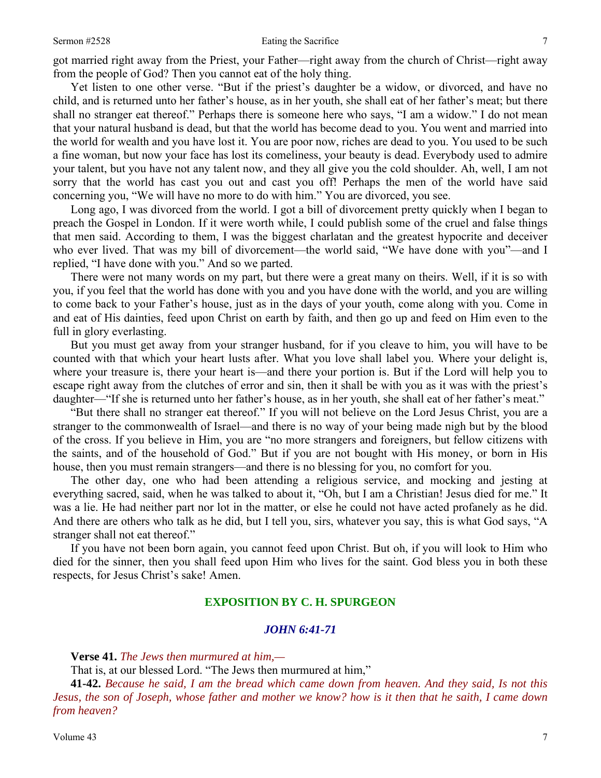got married right away from the Priest, your Father—right away from the church of Christ—right away from the people of God? Then you cannot eat of the holy thing.

Yet listen to one other verse. "But if the priest's daughter be a widow, or divorced, and have no child, and is returned unto her father's house, as in her youth, she shall eat of her father's meat; but there shall no stranger eat thereof." Perhaps there is someone here who says, "I am a widow." I do not mean that your natural husband is dead, but that the world has become dead to you. You went and married into the world for wealth and you have lost it. You are poor now, riches are dead to you. You used to be such a fine woman, but now your face has lost its comeliness, your beauty is dead. Everybody used to admire your talent, but you have not any talent now, and they all give you the cold shoulder. Ah, well, I am not sorry that the world has cast you out and cast you off! Perhaps the men of the world have said concerning you, "We will have no more to do with him." You are divorced, you see.

Long ago, I was divorced from the world. I got a bill of divorcement pretty quickly when I began to preach the Gospel in London. If it were worth while, I could publish some of the cruel and false things that men said. According to them, I was the biggest charlatan and the greatest hypocrite and deceiver who ever lived. That was my bill of divorcement—the world said, "We have done with you"—and I replied, "I have done with you." And so we parted.

There were not many words on my part, but there were a great many on theirs. Well, if it is so with you, if you feel that the world has done with you and you have done with the world, and you are willing to come back to your Father's house, just as in the days of your youth, come along with you. Come in and eat of His dainties, feed upon Christ on earth by faith, and then go up and feed on Him even to the full in glory everlasting.

But you must get away from your stranger husband, for if you cleave to him, you will have to be counted with that which your heart lusts after. What you love shall label you. Where your delight is, where your treasure is, there your heart is—and there your portion is. But if the Lord will help you to escape right away from the clutches of error and sin, then it shall be with you as it was with the priest's daughter—"If she is returned unto her father's house, as in her youth, she shall eat of her father's meat."

"But there shall no stranger eat thereof." If you will not believe on the Lord Jesus Christ, you are a stranger to the commonwealth of Israel—and there is no way of your being made nigh but by the blood of the cross. If you believe in Him, you are "no more strangers and foreigners, but fellow citizens with the saints, and of the household of God." But if you are not bought with His money, or born in His house, then you must remain strangers—and there is no blessing for you, no comfort for you.

The other day, one who had been attending a religious service, and mocking and jesting at everything sacred, said, when he was talked to about it, "Oh, but I am a Christian! Jesus died for me." It was a lie. He had neither part nor lot in the matter, or else he could not have acted profanely as he did. And there are others who talk as he did, but I tell you, sirs, whatever you say, this is what God says, "A stranger shall not eat thereof."

If you have not been born again, you cannot feed upon Christ. But oh, if you will look to Him who died for the sinner, then you shall feed upon Him who lives for the saint. God bless you in both these respects, for Jesus Christ's sake! Amen.

## **EXPOSITION BY C. H. SPURGEON**

### *JOHN 6:41-71*

**Verse 41.** *The Jews then murmured at him,—* 

That is, at our blessed Lord. "The Jews then murmured at him,"

**41-42.** *Because he said, I am the bread which came down from heaven. And they said, Is not this Jesus, the son of Joseph, whose father and mother we know? how is it then that he saith, I came down from heaven?*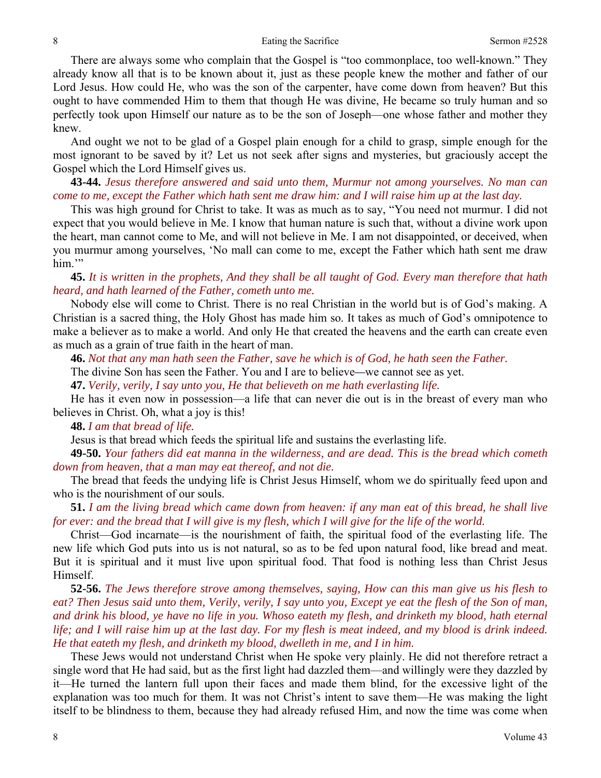There are always some who complain that the Gospel is "too commonplace, too well-known." They already know all that is to be known about it, just as these people knew the mother and father of our Lord Jesus. How could He, who was the son of the carpenter, have come down from heaven? But this ought to have commended Him to them that though He was divine, He became so truly human and so perfectly took upon Himself our nature as to be the son of Joseph—one whose father and mother they knew.

And ought we not to be glad of a Gospel plain enough for a child to grasp, simple enough for the most ignorant to be saved by it? Let us not seek after signs and mysteries, but graciously accept the Gospel which the Lord Himself gives us.

**43-44.** *Jesus therefore answered and said unto them, Murmur not among yourselves. No man can come to me, except the Father which hath sent me draw him: and I will raise him up at the last day.* 

This was high ground for Christ to take. It was as much as to say, "You need not murmur. I did not expect that you would believe in Me. I know that human nature is such that, without a divine work upon the heart, man cannot come to Me, and will not believe in Me. I am not disappointed, or deceived, when you murmur among yourselves, 'No mall can come to me, except the Father which hath sent me draw him."

**45.** *It is written in the prophets, And they shall be all taught of God. Every man therefore that hath heard, and hath learned of the Father, cometh unto me.* 

Nobody else will come to Christ. There is no real Christian in the world but is of God's making. A Christian is a sacred thing, the Holy Ghost has made him so. It takes as much of God's omnipotence to make a believer as to make a world. And only He that created the heavens and the earth can create even as much as a grain of true faith in the heart of man.

**46.** *Not that any man hath seen the Father, save he which is of God, he hath seen the Father.* 

The divine Son has seen the Father. You and I are to believe*—*we cannot see as yet.

**47.** *Verily, verily, I say unto you, He that believeth on me hath everlasting life.* 

He has it even now in possession—a life that can never die out is in the breast of every man who believes in Christ. Oh, what a joy is this!

**48.** *I am that bread of life.* 

Jesus is that bread which feeds the spiritual life and sustains the everlasting life.

**49-50.** *Your fathers did eat manna in the wilderness, and are dead. This is the bread which cometh down from heaven, that a man may eat thereof, and not die.* 

The bread that feeds the undying life is Christ Jesus Himself, whom we do spiritually feed upon and who is the nourishment of our souls.

**51.** *I am the living bread which came down from heaven: if any man eat of this bread, he shall live for ever: and the bread that I will give is my flesh, which I will give for the life of the world.* 

Christ—God incarnate—is the nourishment of faith, the spiritual food of the everlasting life. The new life which God puts into us is not natural, so as to be fed upon natural food, like bread and meat. But it is spiritual and it must live upon spiritual food. That food is nothing less than Christ Jesus Himself.

**52-56.** *The Jews therefore strove among themselves, saying, How can this man give us his flesh to eat? Then Jesus said unto them, Verily, verily, I say unto you, Except ye eat the flesh of the Son of man, and drink his blood, ye have no life in you. Whoso eateth my flesh, and drinketh my blood, hath eternal life; and I will raise him up at the last day. For my flesh is meat indeed, and my blood is drink indeed. He that eateth my flesh, and drinketh my blood, dwelleth in me, and I in him.* 

These Jews would not understand Christ when He spoke very plainly. He did not therefore retract a single word that He had said, but as the first light had dazzled them—and willingly were they dazzled by it—He turned the lantern full upon their faces and made them blind, for the excessive light of the explanation was too much for them. It was not Christ's intent to save them—He was making the light itself to be blindness to them, because they had already refused Him, and now the time was come when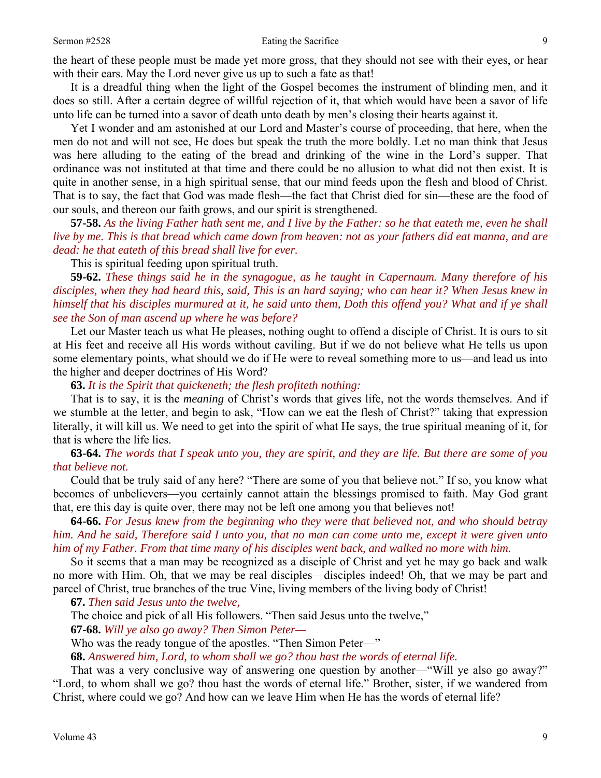the heart of these people must be made yet more gross, that they should not see with their eyes, or hear with their ears. May the Lord never give us up to such a fate as that!

It is a dreadful thing when the light of the Gospel becomes the instrument of blinding men, and it does so still. After a certain degree of willful rejection of it, that which would have been a savor of life unto life can be turned into a savor of death unto death by men's closing their hearts against it.

Yet I wonder and am astonished at our Lord and Master's course of proceeding, that here, when the men do not and will not see, He does but speak the truth the more boldly. Let no man think that Jesus was here alluding to the eating of the bread and drinking of the wine in the Lord's supper. That ordinance was not instituted at that time and there could be no allusion to what did not then exist. It is quite in another sense, in a high spiritual sense, that our mind feeds upon the flesh and blood of Christ. That is to say, the fact that God was made flesh—the fact that Christ died for sin—these are the food of our souls, and thereon our faith grows, and our spirit is strengthened.

**57-58.** *As the living Father hath sent me, and I live by the Father: so he that eateth me, even he shall live by me. This is that bread which came down from heaven: not as your fathers did eat manna, and are dead: he that eateth of this bread shall live for ever.* 

This is spiritual feeding upon spiritual truth.

**59-62.** *These things said he in the synagogue, as he taught in Capernaum. Many therefore of his disciples, when they had heard this, said, This is an hard saying; who can hear it? When Jesus knew in himself that his disciples murmured at it, he said unto them, Doth this offend you? What and if ye shall see the Son of man ascend up where he was before?* 

Let our Master teach us what He pleases, nothing ought to offend a disciple of Christ. It is ours to sit at His feet and receive all His words without caviling. But if we do not believe what He tells us upon some elementary points, what should we do if He were to reveal something more to us—and lead us into the higher and deeper doctrines of His Word?

**63.** *It is the Spirit that quickeneth; the flesh profiteth nothing:* 

That is to say, it is the *meaning* of Christ's words that gives life, not the words themselves. And if we stumble at the letter, and begin to ask, "How can we eat the flesh of Christ?" taking that expression literally, it will kill us. We need to get into the spirit of what He says, the true spiritual meaning of it, for that is where the life lies.

**63-64.** *The words that I speak unto you, they are spirit, and they are life. But there are some of you that believe not.* 

Could that be truly said of any here? "There are some of you that believe not." If so, you know what becomes of unbelievers—you certainly cannot attain the blessings promised to faith. May God grant that, ere this day is quite over, there may not be left one among you that believes not!

**64-66.** *For Jesus knew from the beginning who they were that believed not, and who should betray him. And he said, Therefore said I unto you, that no man can come unto me, except it were given unto him of my Father. From that time many of his disciples went back, and walked no more with him.* 

So it seems that a man may be recognized as a disciple of Christ and yet he may go back and walk no more with Him. Oh, that we may be real disciples—disciples indeed! Oh, that we may be part and parcel of Christ, true branches of the true Vine, living members of the living body of Christ!

**67.** *Then said Jesus unto the twelve,* 

The choice and pick of all His followers. "Then said Jesus unto the twelve,"

**67-68.** *Will ye also go away? Then Simon Peter—*

Who was the ready tongue of the apostles. "Then Simon Peter—"

**68.** *Answered him, Lord, to whom shall we go? thou hast the words of eternal life.* 

That was a very conclusive way of answering one question by another—"Will ye also go away?" "Lord, to whom shall we go? thou hast the words of eternal life." Brother, sister, if we wandered from Christ, where could we go? And how can we leave Him when He has the words of eternal life?